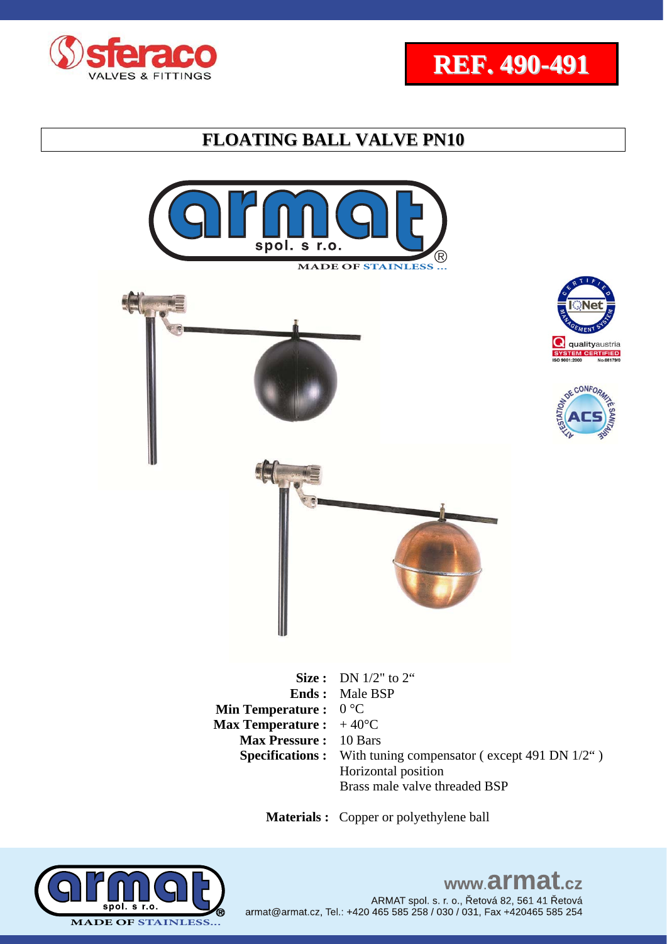





**Ends :**  Male BSP **Min Temperature :**  0 °C **Max Temperature :**  $+40^{\circ}C$ **Max Pressure :** 10 Bars **Specifications :** With tuning compensator (except 491 DN 1/2") Horizontal position Brass male valve threaded BSP

www.armat.cz

ARMAT spol. s. r. o., Řetová 82, 561 41 Řetová

 **Materials :** Copper or polyethylene ball

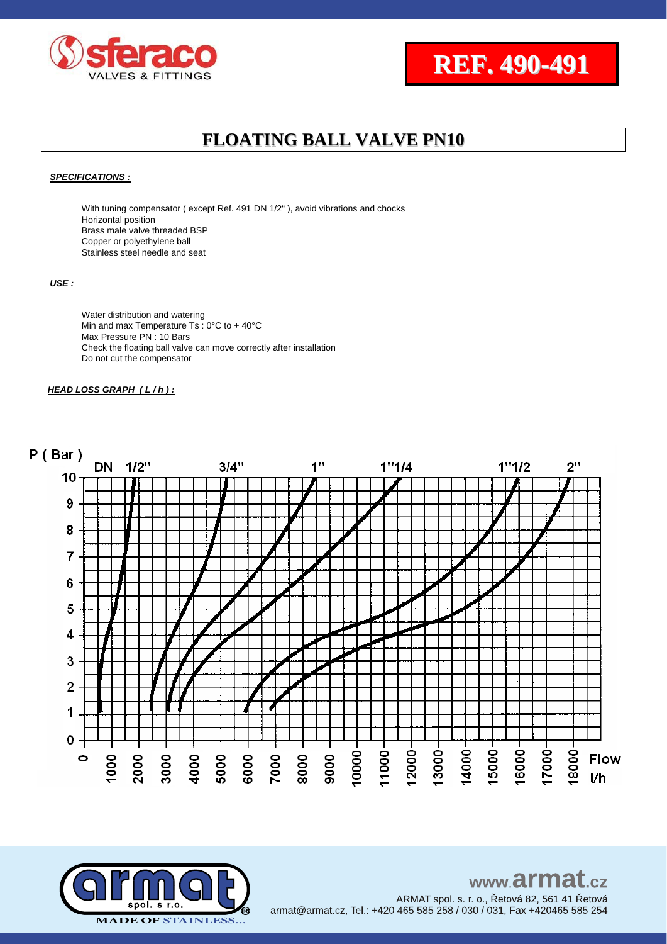



#### *SPECIFICATIONS :*

With tuning compensator (except Ref. 491 DN 1/2"), avoid vibrations and chocks Horizontal position Brass male valve threaded BSP Copper or polyethylene ball Stainless steel needle and seat

#### *USE :*

Water distribution and watering Min and max Temperature Ts : 0°C to + 40°C Max Pressure PN: 10 Bars Check the floating ball valve can move correctly after installation Do not cut the compensator

#### *HEAD LOSS GRAPH ( L / h ) :*



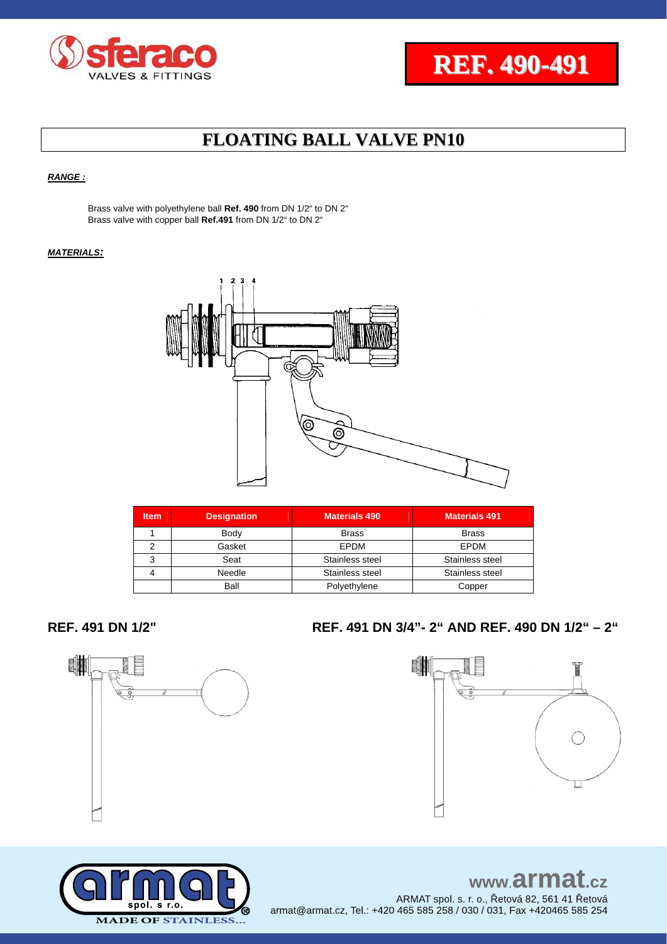



### *RANGE :*

Brass valve with polyethylene ball **Ref. 490** from DN 1/2" to DN 2" Brass valve with copper ball **Ref.491** from DN 1/2" to DN 2"

### *MATERIALS:*



| <b>Item</b> | <b>Designation</b> | <b>Materials 490</b> | <b>Materials 491</b> |  |  |
|-------------|--------------------|----------------------|----------------------|--|--|
|             | Body               | <b>Brass</b>         | <b>Brass</b>         |  |  |
|             | Gasket             | EPDM                 | EPDM                 |  |  |
| 3           | Seat               | Stainless steel      | Stainless steel      |  |  |
|             | Needle             | Stainless steel      | Stainless steel      |  |  |
|             | Ball               | Polyethylene         | Copper               |  |  |



### **REF. 491 DN 1/2" REF. 491 DN 3/4"- 2" AND REF. 490 DN 1/2" – 2"**





www.armat.cz ARMAT spol. s. r. o., Řetová 82, 561 41 Řetová armat@armat.cz, Tel.: +420 465 585 258 / 030 / 031, Fax +420465 585 254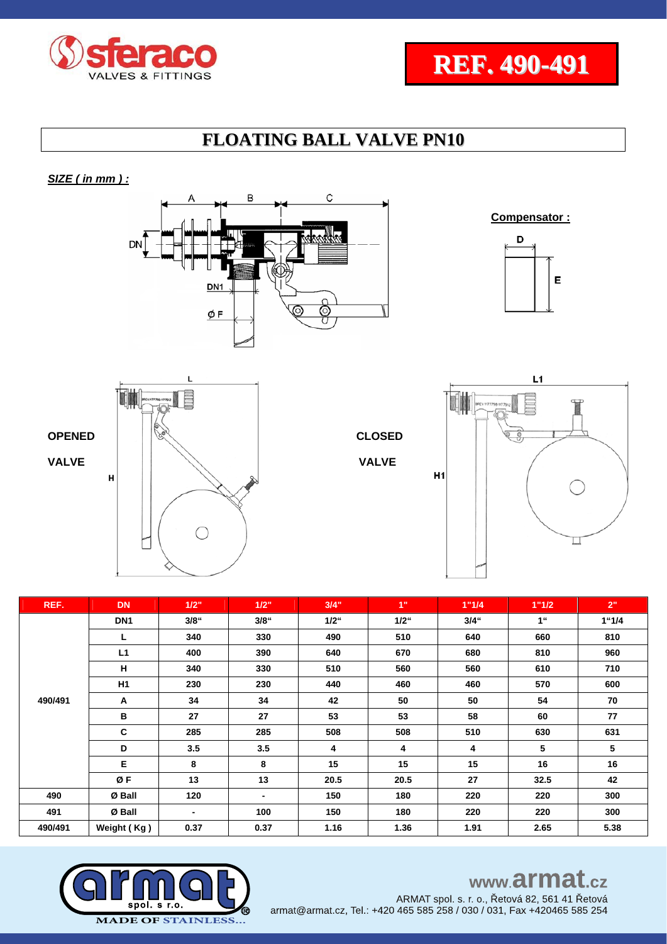



### *SIZE ( in mm ) :*









 $H1$ 



| REF.    | <b>DN</b>       | 1/2"           | 1/2"    | 3/4"    | 1"      | 1"1/4   | 1"1/2           | 2"    |
|---------|-----------------|----------------|---------|---------|---------|---------|-----------------|-------|
|         | DN <sub>1</sub> | 3/8"           | $3/8$ " | $1/2$ " | $1/2$ " | $3/4$ " | 1 <sup>ii</sup> | 1"1/4 |
|         | L               | 340            | 330     | 490     | 510     | 640     | 660             | 810   |
|         | L1              | 400            | 390     | 640     | 670     | 680     | 810             | 960   |
|         | н               | 340            | 330     | 510     | 560     | 560     | 610             | 710   |
|         | H1              | 230            | 230     | 440     | 460     | 460     | 570             | 600   |
| 490/491 | Α               | 34             | 34      | 42      | 50      | 50      | 54              | 70    |
|         | В               | 27             | 27      | 53      | 53      | 58      | 60              | 77    |
|         | C               | 285            | 285     | 508     | 508     | 510     | 630             | 631   |
|         | D               | 3.5            | 3.5     | 4       | 4       | 4       | 5               | 5     |
|         | E               | 8              | 8       | 15      | 15      | 15      | 16              | 16    |
|         | ØF              | 13             | 13      | 20.5    | 20.5    | 27      | 32.5            | 42    |
| 490     | Ø Ball          | 120            |         | 150     | 180     | 220     | 220             | 300   |
| 491     | Ø Ball          | $\blacksquare$ | 100     | 150     | 180     | 220     | 220             | 300   |
| 490/491 | Weight (Kg)     | 0.37           | 0.37    | 1.16    | 1.36    | 1.91    | 2.65            | 5.38  |



# www.armat.cz

ARMAT spol. s. r. o., Řetová 82, 561 41 Řetová armat@armat.cz, Tel.: +420 465 585 258 / 030 / 031, Fax +420465 585 254